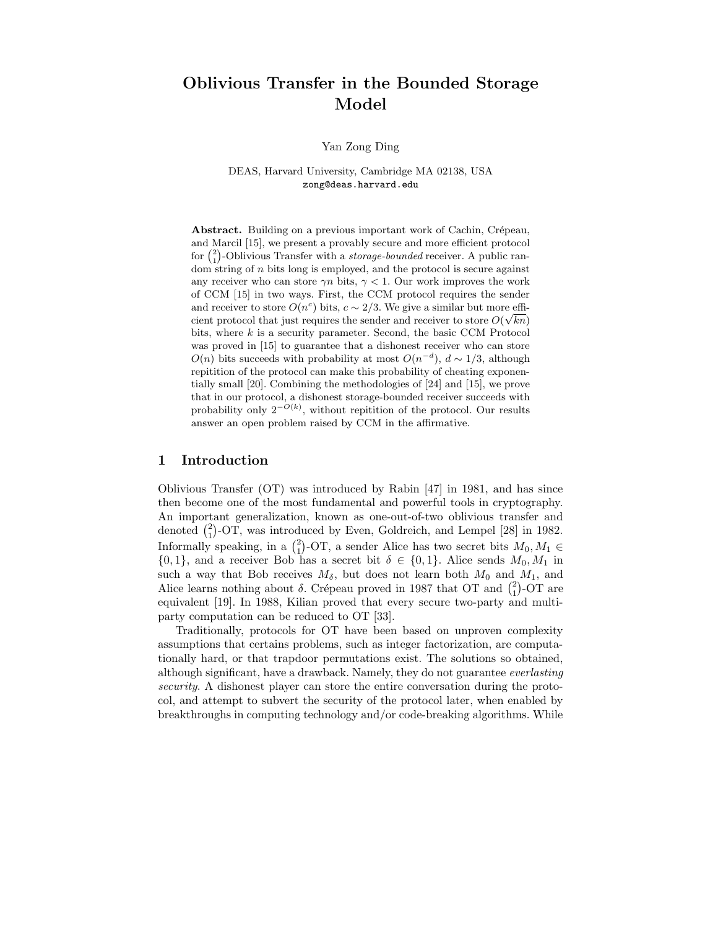# Oblivious Transfer in the Bounded Storage Model

Yan Zong Ding

DEAS, Harvard University, Cambridge MA 02138, USA zong@deas.harvard.edu

Abstract. Building on a previous important work of Cachin, Crépeau, and Marcil [15], we present a provably secure and more efficient protocol for  $\binom{2}{1}$ -Oblivious Transfer with a *storage-bounded* receiver. A public ran- $\overline{\text{dom}}$  string of *n* bits long is employed, and the protocol is secure against any receiver who can store  $\gamma n$  bits,  $\gamma < 1$ . Our work improves the work of CCM [15] in two ways. First, the CCM protocol requires the sender and receiver to store  $O(n^c)$  bits,  $c \sim 2/3$ . We give a similar but more efficient protocol that just requires the sender and receiver to store  $O(\sqrt{kn})$ bits, where  $k$  is a security parameter. Second, the basic CCM Protocol was proved in [15] to guarantee that a dishonest receiver who can store  $O(n)$  bits succeeds with probability at most  $O(n^{-d})$ ,  $d \sim 1/3$ , although repitition of the protocol can make this probability of cheating exponentially small [20]. Combining the methodologies of [24] and [15], we prove that in our protocol, a dishonest storage-bounded receiver succeeds with probability only  $2^{-O(k)}$ , without repitition of the protocol. Our results answer an open problem raised by CCM in the affirmative.

## 1 Introduction

Oblivious Transfer (OT) was introduced by Rabin [47] in 1981, and has since then become one of the most fundamental and powerful tools in cryptography. An important generalization, known as one-out-of-two oblivious transfer and denoted  $\binom{2}{1}$ -OT, was introduced by Even, Goldreich, and Lempel [28] in 1982. Informally speaking, in a  $\binom{2}{1}$ -OT, a sender Alice has two secret bits  $M_0, M_1 \in$  $\{0,1\}$ , and a receiver Bob has a secret bit  $\delta \in \{0,1\}$ . Alice sends  $M_0, M_1$  in such a way that Bob receives  $M_{\delta}$ , but does not learn both  $M_0$  and  $M_1$ , and Alice learns nothing about  $\delta$ . Crépeau proved in 1987 that OT and  $\binom{2}{1}$ -OT are equivalent [19]. In 1988, Kilian proved that every secure two-party and multiparty computation can be reduced to OT [33].

Traditionally, protocols for OT have been based on unproven complexity assumptions that certains problems, such as integer factorization, are computationally hard, or that trapdoor permutations exist. The solutions so obtained, although significant, have a drawback. Namely, they do not guarantee everlasting security. A dishonest player can store the entire conversation during the protocol, and attempt to subvert the security of the protocol later, when enabled by breakthroughs in computing technology and/or code-breaking algorithms. While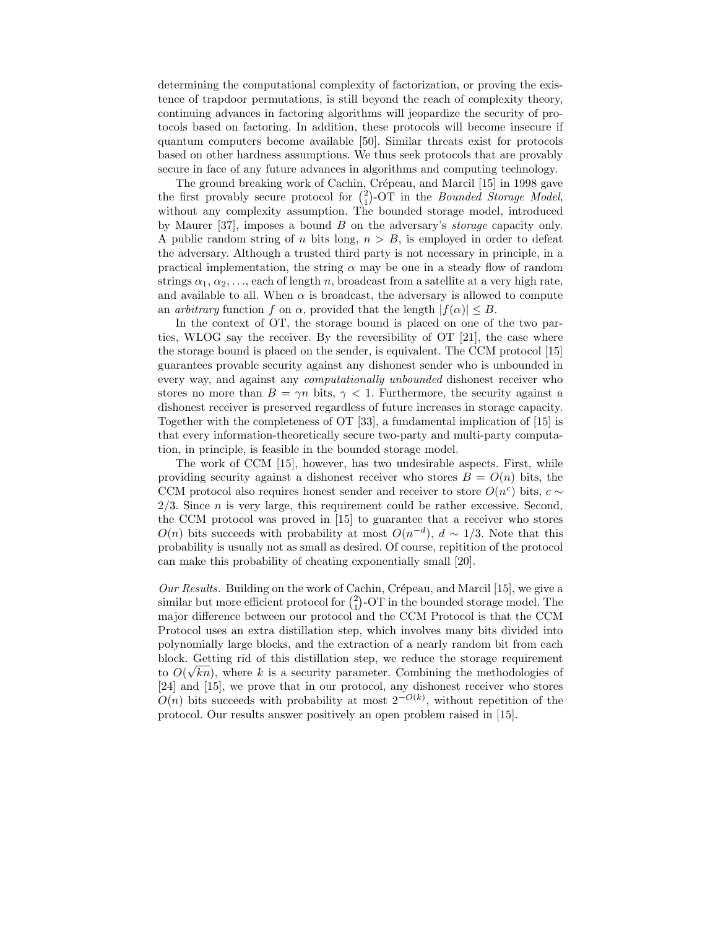determining the computational complexity of factorization, or proving the existence of trapdoor permutations, is still beyond the reach of complexity theory, continuing advances in factoring algorithms will jeopardize the security of protocols based on factoring. In addition, these protocols will become insecure if quantum computers become available [50]. Similar threats exist for protocols based on other hardness assumptions. We thus seek protocols that are provably secure in face of any future advances in algorithms and computing technology.

The ground breaking work of Cachin, Crépeau, and Marcil [15] in 1998 gave the first provably secure protocol for  $\binom{2}{1}$ -OT in the *Bounded Storage Model*, without any complexity assumption. The bounded storage model, introduced by Maurer [37], imposes a bound  $B$  on the adversary's *storage* capacity only. A public random string of n bits long,  $n > B$ , is employed in order to defeat the adversary. Although a trusted third party is not necessary in principle, in a practical implementation, the string  $\alpha$  may be one in a steady flow of random strings  $\alpha_1, \alpha_2, \ldots$ , each of length n, broadcast from a satellite at a very high rate, and available to all. When  $\alpha$  is broadcast, the adversary is allowed to compute an *arbitrary* function f on  $\alpha$ , provided that the length  $|f(\alpha)| \leq B$ .

In the context of OT, the storage bound is placed on one of the two parties, WLOG say the receiver. By the reversibility of OT [21], the case where the storage bound is placed on the sender, is equivalent. The CCM protocol [15] guarantees provable security against any dishonest sender who is unbounded in every way, and against any computationally unbounded dishonest receiver who stores no more than  $B = \gamma n$  bits,  $\gamma < 1$ . Furthermore, the security against a dishonest receiver is preserved regardless of future increases in storage capacity. Together with the completeness of OT [33], a fundamental implication of [15] is that every information-theoretically secure two-party and multi-party computation, in principle, is feasible in the bounded storage model.

The work of CCM [15], however, has two undesirable aspects. First, while providing security against a dishonest receiver who stores  $B = O(n)$  bits, the CCM protocol also requires honest sender and receiver to store  $O(n^c)$  bits,  $c \sim$  $2/3$ . Since *n* is very large, this requirement could be rather excessive. Second, the CCM protocol was proved in [15] to guarantee that a receiver who stores  $O(n)$  bits succeeds with probability at most  $O(n^{-d})$ ,  $d \sim 1/3$ . Note that this probability is usually not as small as desired. Of course, repitition of the protocol can make this probability of cheating exponentially small [20].

Our Results. Building on the work of Cachin, Crépeau, and Marcil  $[15]$ , we give a similar but more efficient protocol for  $\binom{2}{1}$ -OT in the bounded storage model. The major difference between our protocol and the CCM Protocol is that the CCM Protocol uses an extra distillation step, which involves many bits divided into polynomially large blocks, and the extraction of a nearly random bit from each block. Getting rid of this distillation step, we reduce the storage requirement to  $O(\sqrt{kn})$ , where k is a security parameter. Combining the methodologies of [24] and [15], we prove that in our protocol, any dishonest receiver who stores  $O(n)$  bits succeeds with probability at most  $2^{-O(k)}$ , without repetition of the protocol. Our results answer positively an open problem raised in [15].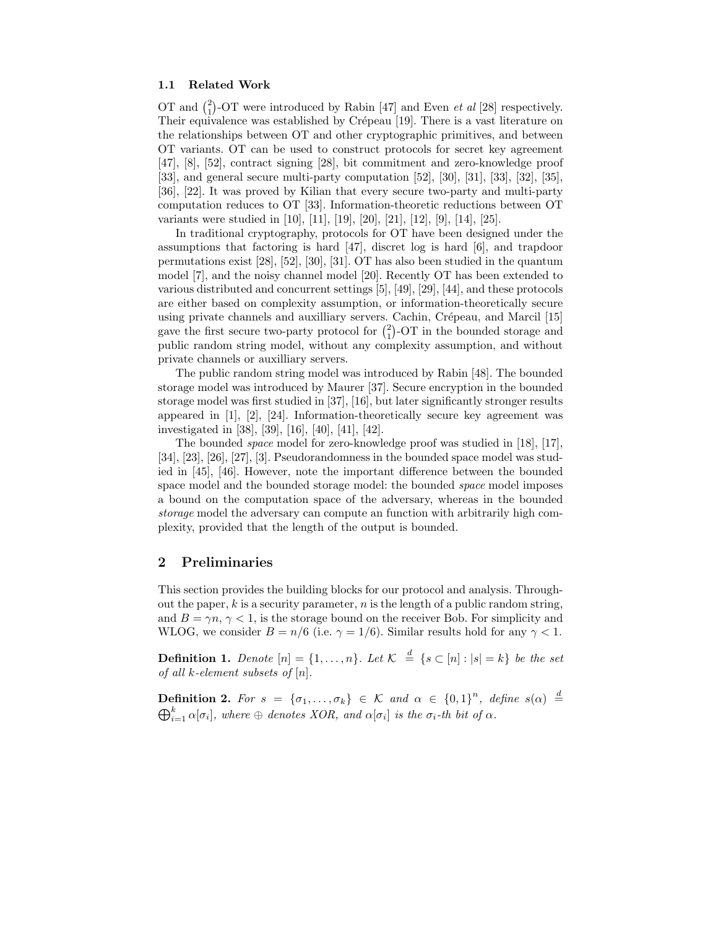### 1.1 Related Work

OT and  $\binom{2}{1}$ -OT were introduced by Rabin [47] and Even *et al* [28] respectively. Their equivalence was established by Crépeau [19]. There is a vast literature on the relationships between OT and other cryptographic primitives, and between OT variants. OT can be used to construct protocols for secret key agreement [47], [8], [52], contract signing [28], bit commitment and zero-knowledge proof [33], and general secure multi-party computation [52], [30], [31], [33], [32], [35], [36], [22]. It was proved by Kilian that every secure two-party and multi-party computation reduces to OT [33]. Information-theoretic reductions between OT variants were studied in [10], [11], [19], [20], [21], [12], [9], [14], [25].

In traditional cryptography, protocols for OT have been designed under the assumptions that factoring is hard [47], discret log is hard [6], and trapdoor permutations exist [28], [52], [30], [31]. OT has also been studied in the quantum model [7], and the noisy channel model [20]. Recently OT has been extended to various distributed and concurrent settings [5], [49], [29], [44], and these protocols are either based on complexity assumption, or information-theoretically secure using private channels and auxilliary servers. Cachin, Crépeau, and Marcil [15] gave the first secure two-party protocol for  $\binom{2}{1}$ -OT in the bounded storage and public random string model, without any complexity assumption, and without private channels or auxilliary servers.

The public random string model was introduced by Rabin [48]. The bounded storage model was introduced by Maurer [37]. Secure encryption in the bounded storage model was first studied in [37], [16], but later significantly stronger results appeared in [1], [2], [24]. Information-theoretically secure key agreement was investigated in [38], [39], [16], [40], [41], [42].

The bounded space model for zero-knowledge proof was studied in [18], [17], [34], [23], [26], [27], [3]. Pseudorandomness in the bounded space model was studied in [45], [46]. However, note the important difference between the bounded space model and the bounded storage model: the bounded space model imposes a bound on the computation space of the adversary, whereas in the bounded storage model the adversary can compute an function with arbitrarily high complexity, provided that the length of the output is bounded.

## 2 Preliminaries

This section provides the building blocks for our protocol and analysis. Throughout the paper,  $k$  is a security parameter,  $n$  is the length of a public random string, and  $B = \gamma n, \gamma < 1$ , is the storage bound on the receiver Bob. For simplicity and WLOG, we consider  $B = n/6$  (i.e.  $\gamma = 1/6$ ). Similar results hold for any  $\gamma < 1$ .

**Definition 1.** Denote  $[n] = \{1, \ldots, n\}$ . Let  $\mathcal{K} \stackrel{d}{=} \{s \subset [n] : |s| = k\}$  be the set of all k-element subsets of  $[n]$ .

**Definition 2.** For  $s = \{\sigma_1, ..., \sigma_k\} \in \mathcal{K}$  and  $\alpha \in \{0,1\}^n$ , define  $s(\alpha) \stackrel{d}{=}$  $\bigoplus_{i=1}^k \alpha[\sigma_i]$ , where  $\oplus$  denotes XOR, and  $\alpha[\sigma_i]$  is the  $\sigma_i$ -th bit of  $\alpha$ .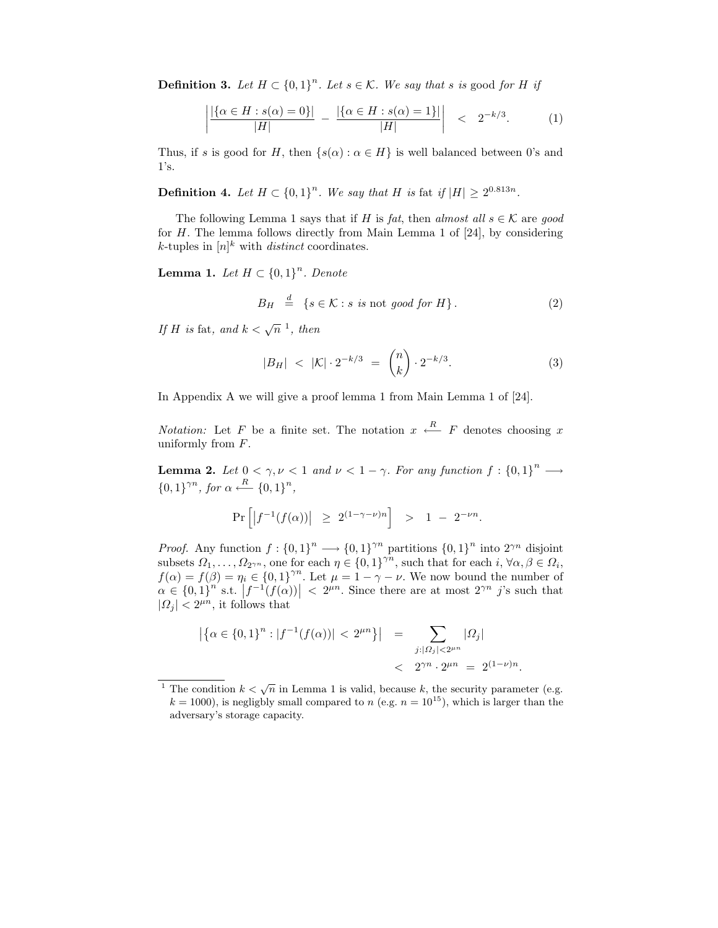**Definition 3.** Let  $H \subset \{0,1\}^n$ . Let  $s \in \mathcal{K}$ . We say that s is good for H if

$$
\left| \frac{|\{\alpha \in H : s(\alpha) = 0\}|}{|H|} - \frac{|\{\alpha \in H : s(\alpha) = 1\}|}{|H|} \right| < 2^{-k/3}.
$$
 (1)

Thus, if s is good for H, then  $\{s(\alpha): \alpha \in H\}$  is well balanced between 0's and 1's.

**Definition 4.** Let  $H \subset \{0,1\}^n$ . We say that H is fat if  $|H| \ge 2^{0.813n}$ .

The following Lemma 1 says that if H is fat, then almost all  $s \in \mathcal{K}$  are good for  $H$ . The lemma follows directly from Main Lemma 1 of [24], by considering k-tuples in  $[n]^k$  with *distinct* coordinates.

**Lemma 1.** Let  $H \subset \{0,1\}^n$ . Denote

$$
B_H \stackrel{d}{=} \{ s \in \mathcal{K} : s \text{ is not good for } H \}. \tag{2}
$$

If H is fat, and  $k < \sqrt{n}$ <sup>1</sup>, then

$$
|B_H| < |\mathcal{K}| \cdot 2^{-k/3} = \binom{n}{k} \cdot 2^{-k/3}.\tag{3}
$$

In Appendix A we will give a proof lemma 1 from Main Lemma 1 of [24].

*Notation:* Let F be a finite set. The notation  $x \leftarrow R$  F denotes choosing x uniformly from  $F$ .

**Lemma 2.** Let  $0 < \gamma, \nu < 1$  and  $\nu < 1 - \gamma$ . For any function  $f : \{0,1\}^n \longrightarrow$  ${0,1}^{\gamma n}$ , for  $\alpha \stackrel{R}{\longleftarrow} {0,1}^n$ ,

$$
\Pr\left[ \left| f^{-1}(f(\alpha)) \right| \geq 2^{(1-\gamma-\nu)n} \right] > 1 - 2^{-\nu n}.
$$

*Proof.* Any function  $f: \{0,1\}^n \longrightarrow \{0,1\}^m$  partitions  $\{0,1\}^n$  into  $2^{\gamma n}$  disjoint subsets  $\Omega_1, \ldots, \Omega_{2^{\gamma n}}$ , one for each  $\eta \in \{0, 1\}^{\gamma n}$ , such that for each  $i, \forall \alpha, \beta \in \Omega_i$ ,  $f(\alpha) = f(\beta) = \eta_i \in \{0,1\}^{\gamma n}$ . Let  $\mu = 1 - \gamma - \nu$ . We now bound the number of  $\alpha \in \{0,1\}^n$  s.t.  $|f^{-1}(f(\alpha))| < 2^{\mu n}$ . Since there are at most  $2^{\gamma n}$  j's such that  $|\Omega_j| < 2^{\mu n}$ , it follows that

$$
\left| \left\{ \alpha \in \{0,1\}^n : |f^{-1}(f(\alpha))| < 2^{\mu n} \right\} \right| = \sum_{\substack{j : |\Omega_j| < 2^{\mu n} \\ \leq 2^{\gamma n} \cdot 2^{\mu n}} = 2^{(1-\nu)n}.
$$

<sup>&</sup>lt;sup>1</sup> The condition  $k < \sqrt{n}$  in Lemma 1 is valid, because k, the security parameter (e.g.  $k = 1000$ , is negligbly small compared to n (e.g.  $n = 10^{15}$ ), which is larger than the adversary's storage capacity.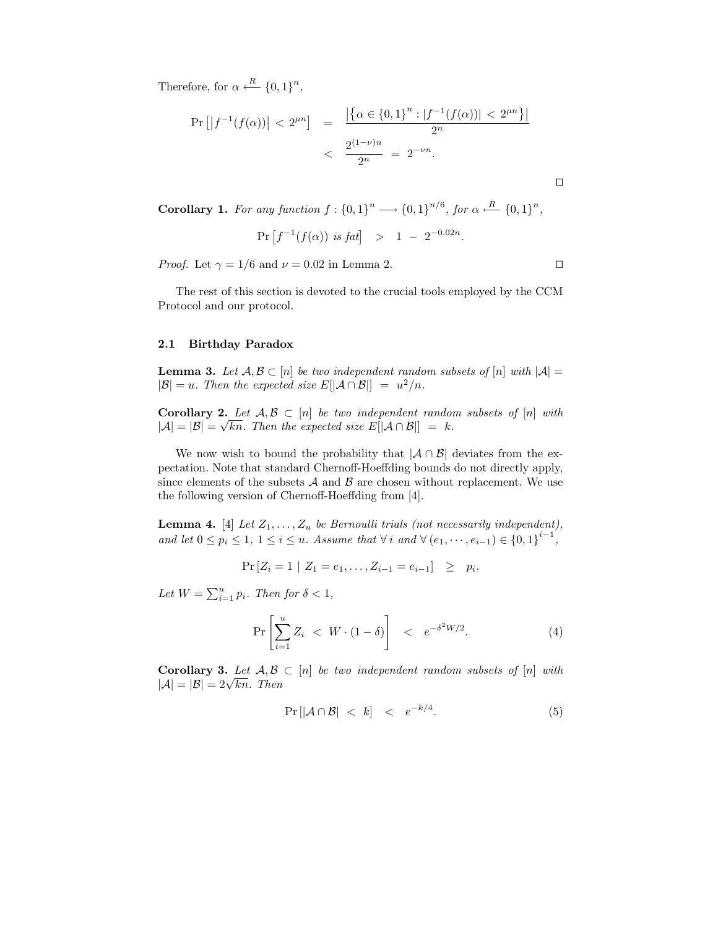Therefore, for  $\alpha \stackrel{R}{\longleftarrow} \{0,1\}^n$ ,

$$
\Pr\left[\left|f^{-1}(f(\alpha))\right| < 2^{\mu n}\right] = \frac{\left|\left\{\alpha \in \{0,1\}^n : |f^{-1}(f(\alpha))| < 2^{\mu n}\right\}\right|}{2^n}
$$
\n
$$
< \frac{2^{(1-\nu)n}}{2^n} = 2^{-\nu n}.
$$

 $\Box$ 

Corollary 1. For any function  $f: \{0,1\}^n \longrightarrow {\{0,1\}}^{n/6}$ , for  $\alpha \stackrel{R}{\longleftarrow} \{0,1\}^n$ ,

$$
Pr[f^{-1}(f(\alpha)) \text{ is fat}] > 1 - 2^{-0.02n}.
$$

*Proof.* Let  $\gamma = 1/6$  and  $\nu = 0.02$  in Lemma 2.

The rest of this section is devoted to the crucial tools employed by the CCM Protocol and our protocol.

#### 2.1 Birthday Paradox

**Lemma 3.** Let  $A, B \subset [n]$  be two independent random subsets of  $[n]$  with  $|A|$  $|\mathcal{B}| = u$ . Then the expected size  $E[|\mathcal{A} \cap \mathcal{B}|] = u^2/n$ .

Corollary 2. Let  $A, B \subset [n]$  be two independent random subsets of  $[n]$  with  $|A| = |B| = \sqrt{kn}$ . Then the expected size  $E[|A \cap B|] = k$ .

We now wish to bound the probability that  $|\mathcal{A} \cap \mathcal{B}|$  deviates from the expectation. Note that standard Chernoff-Hoeffding bounds do not directly apply, since elements of the subsets  $A$  and  $B$  are chosen without replacement. We use the following version of Chernoff-Hoeffding from [4].

**Lemma 4.** [4] Let  $Z_1, \ldots, Z_u$  be Bernoulli trials (not necessarily independent), and let  $0 \leq p_i \leq 1, 1 \leq i \leq u$ . Assume that  $\forall i$  and  $\forall (e_1, \dots, e_{i-1}) \in \{0,1\}^{i-1}$ ,

 $Pr[Z_i = 1 | Z_1 = e_1, \ldots, Z_{i-1} = e_{i-1}] \geq p_i.$ 

Let  $W = \sum_{i=1}^{u} p_i$ . Then for  $\delta < 1$ ,

$$
\Pr\left[\sum_{i=1}^{u} Z_i < W \cdot (1 - \delta)\right] < e^{-\delta^2 W/2}.\tag{4}
$$

Corollary 3. Let  $A, B \subset [n]$  be two independent random subsets of  $[n]$  with  $|\mathcal{A}| = |\mathcal{B}| = 2\sqrt{kn}$ . Then

$$
\Pr\left[\left|\mathcal{A}\cap\mathcal{B}\right| < k\right] < e^{-k/4}.\tag{5}
$$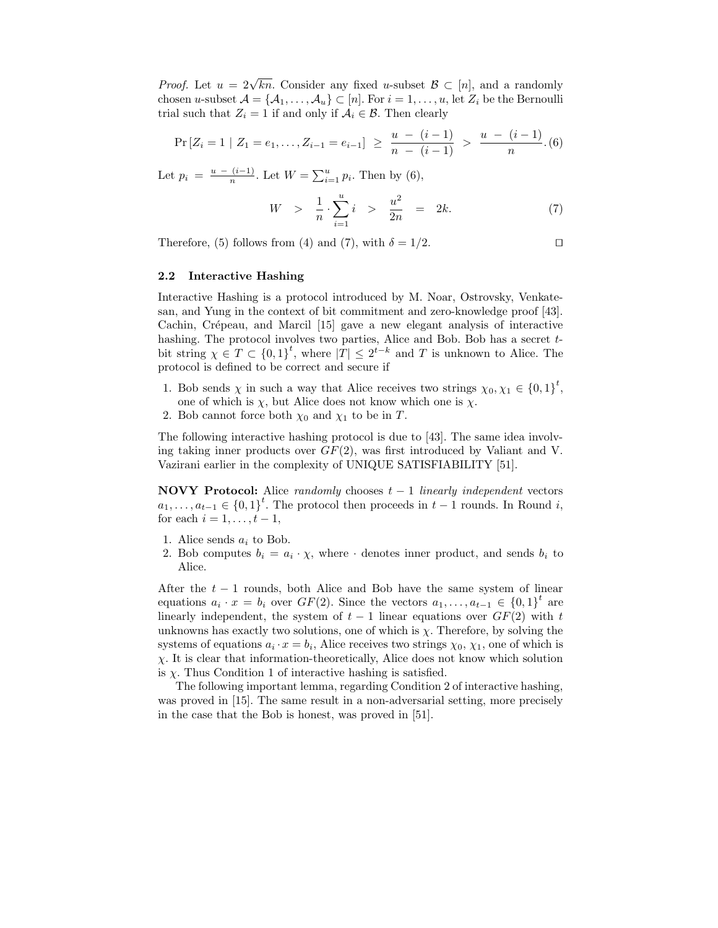*Proof.* Let  $u = 2\sqrt{kn}$ . Consider any fixed u-subset  $\mathcal{B} \subset [n]$ , and a randomly chosen u-subset  $\mathcal{A} = \{A_1, \ldots, A_u\} \subset [n]$ . For  $i = 1, \ldots, u$ , let  $Z_i$  be the Bernoulli trial such that  $Z_i = 1$  if and only if  $A_i \in \mathcal{B}$ . Then clearly

$$
\Pr\left[Z_i=1 \mid Z_1=e_1,\ldots,Z_{i-1}=e_{i-1}\right] \geq \frac{u-(i-1)}{n-(i-1)} > \frac{u-(i-1)}{n}.\tag{6}
$$

Let  $p_i = \frac{u - (i-1)}{n}$  $\frac{(i-1)}{n}$ . Let  $W = \sum_{i=1}^{u} p_i$ . Then by (6),

$$
W \quad > \quad \frac{1}{n} \cdot \sum_{i=1}^{u} i \quad > \quad \frac{u^2}{2n} \quad = \quad 2k. \tag{7}
$$

Therefore, (5) follows from (4) and (7), with  $\delta = 1/2$ .

$$
\Box
$$

## 2.2 Interactive Hashing

Interactive Hashing is a protocol introduced by M. Noar, Ostrovsky, Venkatesan, and Yung in the context of bit commitment and zero-knowledge proof [43]. Cachin, Crépeau, and Marcil [15] gave a new elegant analysis of interactive hashing. The protocol involves two parties, Alice and Bob. Bob has a secret tbit string  $\chi \in T \subset \{0,1\}^t$ , where  $|T| \leq 2^{t-k}$  and T is unknown to Alice. The protocol is defined to be correct and secure if

- 1. Bob sends  $\chi$  in such a way that Alice receives two strings  $\chi_0, \chi_1 \in \{0,1\}^t$ , one of which is  $\chi$ , but Alice does not know which one is  $\chi$ .
- 2. Bob cannot force both  $\chi_0$  and  $\chi_1$  to be in T.

The following interactive hashing protocol is due to [43]. The same idea involving taking inner products over  $GF(2)$ , was first introduced by Valiant and V. Vazirani earlier in the complexity of UNIQUE SATISFIABILITY [51].

NOVY Protocol: Alice randomly chooses  $t - 1$  linearly independent vectors  $a_1, \ldots, a_{t-1} \in \{0,1\}^t$ . The protocol then proceeds in  $t-1$  rounds. In Round i, for each  $i = 1, \ldots, t-1$ ,

- 1. Alice sends  $a_i$  to Bob.
- 2. Bob computes  $b_i = a_i \cdot \chi$ , where  $\cdot$  denotes inner product, and sends  $b_i$  to Alice.

After the  $t - 1$  rounds, both Alice and Bob have the same system of linear equations  $a_i \cdot x = b_i$  over  $GF(2)$ . Since the vectors  $a_1, \ldots, a_{t-1} \in \{0,1\}^t$  are linearly independent, the system of  $t-1$  linear equations over  $GF(2)$  with t unknowns has exactly two solutions, one of which is  $\chi$ . Therefore, by solving the systems of equations  $a_i \cdot x = b_i$ , Alice receives two strings  $\chi_0, \chi_1$ , one of which is  $\chi$ . It is clear that information-theoretically, Alice does not know which solution is  $\chi$ . Thus Condition 1 of interactive hashing is satisfied.

The following important lemma, regarding Condition 2 of interactive hashing, was proved in [15]. The same result in a non-adversarial setting, more precisely in the case that the Bob is honest, was proved in [51].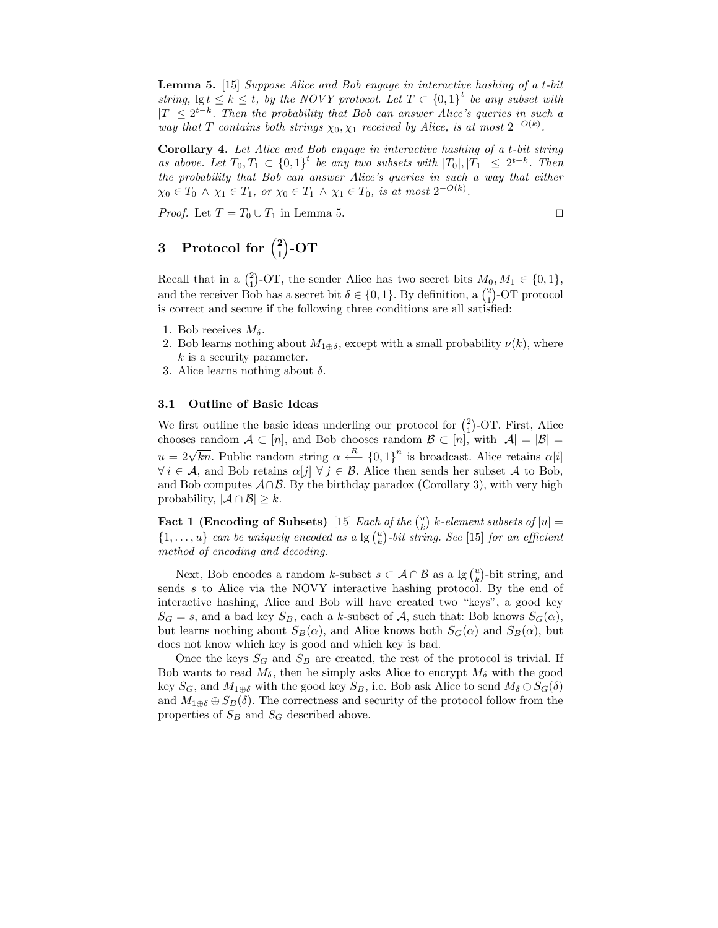Lemma 5. [15] Suppose Alice and Bob engage in interactive hashing of a t-bit string,  $\lg t \leq k \leq t$ , by the NOVY protocol. Let  $T \subset \{0,1\}^t$  be any subset with  $|T| \leq 2^{t-k}$ . Then the probability that Bob can answer Alice's queries in such a way that T contains both strings  $\chi_0, \chi_1$  received by Alice, is at most  $2^{-O(k)}$ .

Corollary 4. Let Alice and Bob engage in interactive hashing of a t-bit string as above. Let  $T_0, T_1 \subset \{0,1\}^t$  be any two subsets with  $|T_0|, |T_1| \leq 2^{t-k}$ . Then the probability that Bob can answer Alice's queries in such a way that either  $\chi_0 \in T_0 \land \chi_1 \in T_1$ , or  $\chi_0 \in T_1 \land \chi_1 \in T_0$ , is at most  $2^{-O(k)}$ .

*Proof.* Let  $T = T_0 \cup T_1$  in Lemma 5.

#### 3 Protocol for  $\binom{2}{1}$  $_{1}^{2}\rangle$ -OT

Recall that in a  $\binom{2}{1}$ -OT, the sender Alice has two secret bits  $M_0, M_1 \in \{0, 1\}$ , and the receiver Bob has a secret bit  $\delta \in \{0, 1\}$ . By definition, a  $\binom{2}{1}$ -OT protocol is correct and secure if the following three conditions are all satisfied:

- 1. Bob receives  $M_{\delta}$ .
- 2. Bob learns nothing about  $M_{1\oplus \delta}$ , except with a small probability  $\nu(k)$ , where  $k$  is a security parameter.
- 3. Alice learns nothing about  $\delta$ .

#### 3.1 Outline of Basic Ideas

We first outline the basic ideas underling our protocol for  $\binom{2}{1}$ -OT. First, Alice chooses random  $A \subset [n]$ , and Bob chooses random  $\mathcal{B} \subset [n]$ , with  $|\mathcal{A}| = |\mathcal{B}| =$  $u = 2\sqrt{kn}$ . Public random string  $\alpha \stackrel{R}{\longleftarrow} \{0,1\}^n$  is broadcast. Alice retains  $\alpha[i]$  $\forall i \in \mathcal{A}$ , and Bob retains  $\alpha[j] \ \forall j \in \mathcal{B}$ . Alice then sends her subset A to Bob, and Bob computes  $\mathcal{A} \cap \mathcal{B}$ . By the birthday paradox (Corollary 3), with very high probability,  $|\mathcal{A} \cap \mathcal{B}| \geq k$ .

Fact 1 (Encoding of Subsets) [15] Each of the  $\binom{u}{k}$  k-element subsets of  $[u] =$  $\{1,\ldots,u\}$  can be uniquely encoded as a  $\lg {u \choose k}$ -bit string. See [15] for an efficient method of encoding and decoding.

Next, Bob encodes a random k-subset  $s \subset \mathcal{A} \cap \mathcal{B}$  as a  $\lg \binom{u}{k}$ -bit string, and sends s to Alice via the NOVY interactive hashing protocol. By the end of interactive hashing, Alice and Bob will have created two "keys", a good key  $S_G = s$ , and a bad key  $S_B$ , each a k-subset of A, such that: Bob knows  $S_G(\alpha)$ , but learns nothing about  $S_B(\alpha)$ , and Alice knows both  $S_G(\alpha)$  and  $S_B(\alpha)$ , but does not know which key is good and which key is bad.

Once the keys  $S_G$  and  $S_B$  are created, the rest of the protocol is trivial. If Bob wants to read  $M_{\delta}$ , then he simply asks Alice to encrypt  $M_{\delta}$  with the good key  $S_G$ , and  $M_{1\oplus \delta}$  with the good key  $S_B$ , i.e. Bob ask Alice to send  $M_{\delta} \oplus S_G(\delta)$ and  $M_{1\oplus \delta} \oplus S_B(\delta)$ . The correctness and security of the protocol follow from the properties of  $S_B$  and  $S_G$  described above.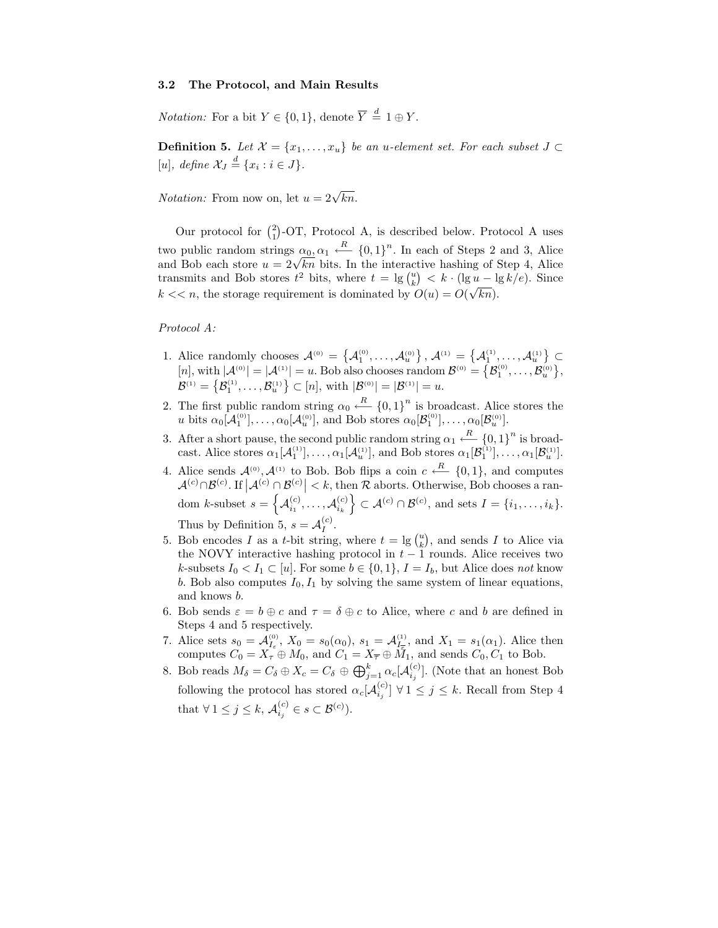#### 3.2 The Protocol, and Main Results

*Notation:* For a bit  $Y \in \{0, 1\}$ , denote  $\overline{Y} \stackrel{d}{=} 1 \oplus Y$ .

**Definition 5.** Let  $\mathcal{X} = \{x_1, \ldots, x_u\}$  be an u-element set. For each subset  $J \subset$ [u], define  $\mathcal{X}_J \stackrel{d}{=} \{x_i : i \in J\}.$ 

*Notation:* From now on, let  $u = 2\sqrt{kn}$ .

Our protocol for  $\binom{2}{1}$ -OT, Protocol A, is described below. Protocol A uses two public random strings  $\alpha_0$ ,  $\alpha_1 \leftarrow R$  {0, 1}<sup>n</sup>. In each of Steps 2 and 3, Alice and Bob each store  $u = 2\sqrt{kn}$  bits. In the interactive hashing of Step 4, Alice transmits and Bob stores  $t^2$  bits, where  $t = \lg {u \choose k} < k \cdot (\lg u - \lg k/e)$ . Since  $k \ll n$ , the storage requirement is dominated by  $\overline{O(u)} = \overline{O(\sqrt{kn})}$ .

### Protocol A:

- 1. Alice randomly chooses  $\mathcal{A}^{(0)} = \{ \mathcal{A}^{(0)}_1, \ldots, \mathcal{A}^{(0)}_u \}, \mathcal{A}^{(1)} = \{ \mathcal{A}^{(1)}_1, \ldots, \mathcal{A}^{(1)}_u \} \subset$  $[n], \text{with } |\mathcal{A}^{(0)}| = |\mathcal{A}^{(1)}| = u.$  Bob also chooses random  $\mathcal{B}^{(0)} = \left\{ \mathcal{B}_1^{(0)}, \ldots, \mathcal{B}_u^{(0)} \right\},$  $\mathcal{B}^{(1)} = \left\{ \mathcal{B}_1^{(1)}, \ldots, \mathcal{B}_u^{(1)} \right\} \subset [n], \text{ with } |\mathcal{B}^{(0)}| = |\mathcal{B}^{(1)}| = u.$
- 2. The first public random string  $\alpha_0 \stackrel{R}{\leftarrow} \{0,1\}^n$  is broadcast. Alice stores the u bits  $\alpha_0[\mathcal{A}_1^{(0)}], \ldots, \alpha_0[\mathcal{A}_u^{(0)}],$  and Bob stores  $\alpha_0[\mathcal{B}_1^{(0)}], \ldots, \alpha_0[\mathcal{B}_u^{(0)}].$
- 3. After a short pause, the second public random string  $\alpha_1 \leftarrow R$  {0, 1}<sup>n</sup> is broadcast. Alice stores  $\alpha_1[\mathcal{A}_1^{(1)}], \ldots, \alpha_1[\mathcal{A}_u^{(1)}],$  and Bob stores  $\alpha_1[\mathcal{B}_1^{(1)}], \ldots, \alpha_1[\mathcal{B}_u^{(1)}].$
- 4. Alice sends  $\mathcal{A}^{(0)}$ ,  $\mathcal{A}^{(1)}$  to Bob. Bob flips a coin  $c \stackrel{R}{\longleftarrow} \{0,1\}$ , and computes  $\mathcal{A}^{(c)} \cap \mathcal{B}^{(c)}$ . If  $|\mathcal{A}^{(c)} \cap \mathcal{B}^{(c)}| < k$ , then R aborts. Otherwise, Bob chooses a ran- $\text{dom } k\text{-subset } s = \left\{ \mathcal{A}^{(c)}_{i_1}, \ldots, \mathcal{A}^{(c)}_{i_k} \right\} \subset \mathcal{A}^{(c)} \cap \mathcal{B}^{(c)}, \text{ and sets } I = \{i_1, \ldots, i_k\}.$ Thus by Definition 5,  $s = A_I^{(c)}$  $I^{(c)}$ .
- 5. Bob encodes I as a t-bit string, where  $t = \lg \binom{u}{k}$ , and sends I to Alice via the NOVY interactive hashing protocol in  $t-1$  rounds. Alice receives two k-subsets  $I_0 < I_1 \subset [u]$ . For some  $b \in \{0,1\}$ ,  $I = I_b$ , but Alice does not know b. Bob also computes  $I_0, I_1$  by solving the same system of linear equations, and knows b.
- 6. Bob sends  $\varepsilon = b \oplus c$  and  $\tau = \delta \oplus c$  to Alice, where c and b are defined in Steps 4 and 5 respectively.
- 7. Alice sets  $s_0 = \mathcal{A}_{I_{\varepsilon}}^{(0)}$ ,  $X_0 = s_0(\alpha_0)$ ,  $s_1 = \mathcal{A}_{I_{\overline{\varepsilon}}}^{(1)}$ , and  $X_1 = s_1(\alpha_1)$ . Alice then computes  $C_0 = X_\tau \oplus M_0$ , and  $C_1 = X_{\overline{\tau}} \oplus M_1$ , and sends  $C_0, C_1$  to Bob.
- 8. Bob reads  $M_{\delta} = C_{\delta} \oplus X_c = C_{\delta} \oplus \bigoplus_{j=1}^{k} \alpha_c [\mathcal{A}_{i_j}^{(c)}]$ . (Note that an honest Bob following the protocol has stored  $\alpha_c[\mathcal{A}_{i_j}^{(c)}]$   $\forall$  1  $\leq$  j  $\leq$  k. Recall from Step 4 that  $\forall 1 \leq j \leq k$ ,  $\mathcal{A}_{i_j}^{(c)} \in s \subset \mathcal{B}^{(c)}$ ).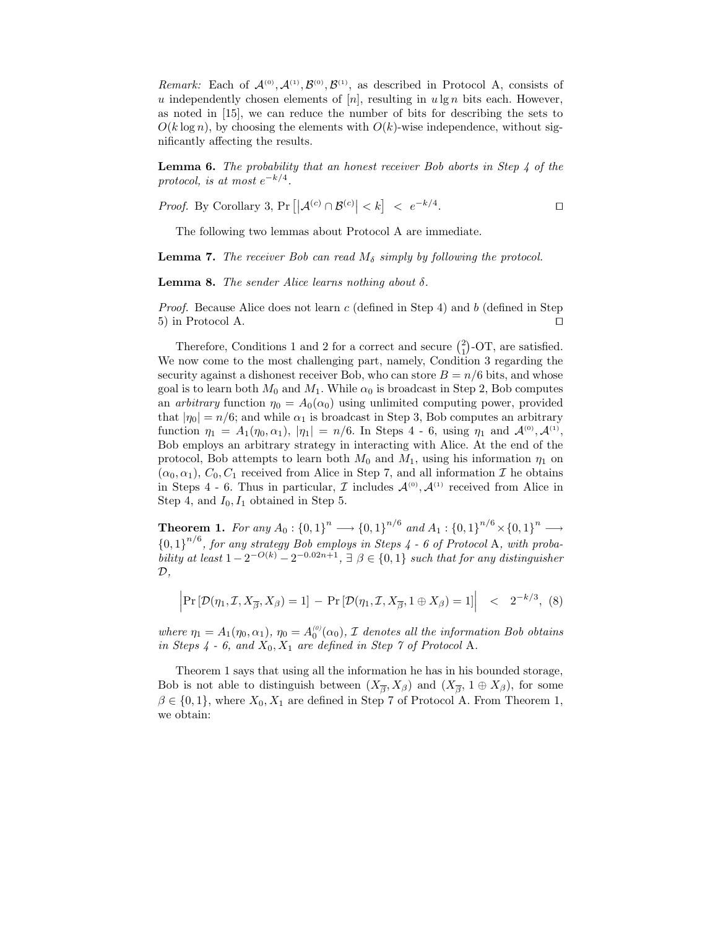Remark: Each of  $\mathcal{A}^{(0)}, \mathcal{A}^{(1)}, \mathcal{B}^{(0)}, \mathcal{B}^{(1)}$ , as described in Protocol A, consists of u independently chosen elements of  $[n]$ , resulting in ulg n bits each. However, as noted in [15], we can reduce the number of bits for describing the sets to  $O(k \log n)$ , by choosing the elements with  $O(k)$ -wise independence, without significantly affecting the results.

**Lemma 6.** The probability that an honest receiver Bob aborts in Step  $\downarrow$  of the protocol, is at most  $e^{-k/4}$ .

*Proof.* By Corollary 3, Pr  $\left| \left| \mathcal{A}^{(c)} \cap \mathcal{B}^{(c)} \right| < k \right| \leq e^{-k/4}$ . The contraction of  $\Box$ 

The following two lemmas about Protocol A are immediate.

**Lemma 7.** The receiver Bob can read  $M_{\delta}$  simply by following the protocol.

**Lemma 8.** The sender Alice learns nothing about  $\delta$ .

*Proof.* Because Alice does not learn  $c$  (defined in Step 4) and  $b$  (defined in Step 5) in Protocol A.  $\Box$ 

Therefore, Conditions 1 and 2 for a correct and secure  $\binom{2}{1}$ -OT, are satisfied. We now come to the most challenging part, namely, Condition 3 regarding the security against a dishonest receiver Bob, who can store  $B = n/6$  bits, and whose goal is to learn both  $M_0$  and  $M_1$ . While  $\alpha_0$  is broadcast in Step 2, Bob computes an *arbitrary* function  $\eta_0 = A_0(\alpha_0)$  using unlimited computing power, provided that  $|\eta_0| = n/6$ ; and while  $\alpha_1$  is broadcast in Step 3, Bob computes an arbitrary function  $\eta_1 = A_1(\eta_0, \alpha_1), |\eta_1| = n/6$ . In Steps 4 - 6, using  $\eta_1$  and  $\mathcal{A}^{(0)}, \mathcal{A}^{(1)}$ , Bob employs an arbitrary strategy in interacting with Alice. At the end of the protocol, Bob attempts to learn both  $M_0$  and  $M_1$ , using his information  $\eta_1$  on  $(\alpha_0, \alpha_1), C_0, C_1$  received from Alice in Step 7, and all information I he obtains in Steps 4 - 6. Thus in particular,  $\mathcal I$  includes  $\mathcal A^{(0)}$ ,  $\mathcal A^{(1)}$  received from Alice in Step 4, and  $I_0$ ,  $I_1$  obtained in Step 5.

**Theorem 1.** For any  $A_0: \{0,1\}^n \longrightarrow \{0,1\}^{n/6}$  and  $A_1: \{0,1\}^{n/6} \times \{0,1\}^n \longrightarrow$  ${0,1}^{n/6}$ , for any strategy Bob employs in Steps 4 - 6 of Protocol A, with probability at least  $1 - 2^{-O(k)} - 2^{-0.02n+1}$ ,  $\exists \beta \in \{0,1\}$  such that for any distinguisher  $\mathcal{D},$ 

$$
\left| \Pr\left[ \mathcal{D}(\eta_1, \mathcal{I}, X_{\overline{\beta}}, X_{\beta}) = 1 \right] - \Pr\left[ \mathcal{D}(\eta_1, \mathcal{I}, X_{\overline{\beta}}, 1 \oplus X_{\beta}) = 1 \right] \right| < 2^{-k/3}, \tag{8}
$$

where  $\eta_1 = A_1(\eta_0, \alpha_1), \eta_0 = A_0^{(0)}(\alpha_0), \mathcal{I}$  denotes all the information Bob obtains in Steps  $4 - 6$ , and  $X_0, X_1$  are defined in Step 7 of Protocol A.

Theorem 1 says that using all the information he has in his bounded storage, Bob is not able to distinguish between  $(X_{\overline{\beta}}, X_{\beta})$  and  $(X_{\overline{\beta}}, 1 \oplus X_{\beta})$ , for some  $\beta \in \{0,1\}$ , where  $X_0, X_1$  are defined in Step 7 of Protocol A. From Theorem 1, we obtain: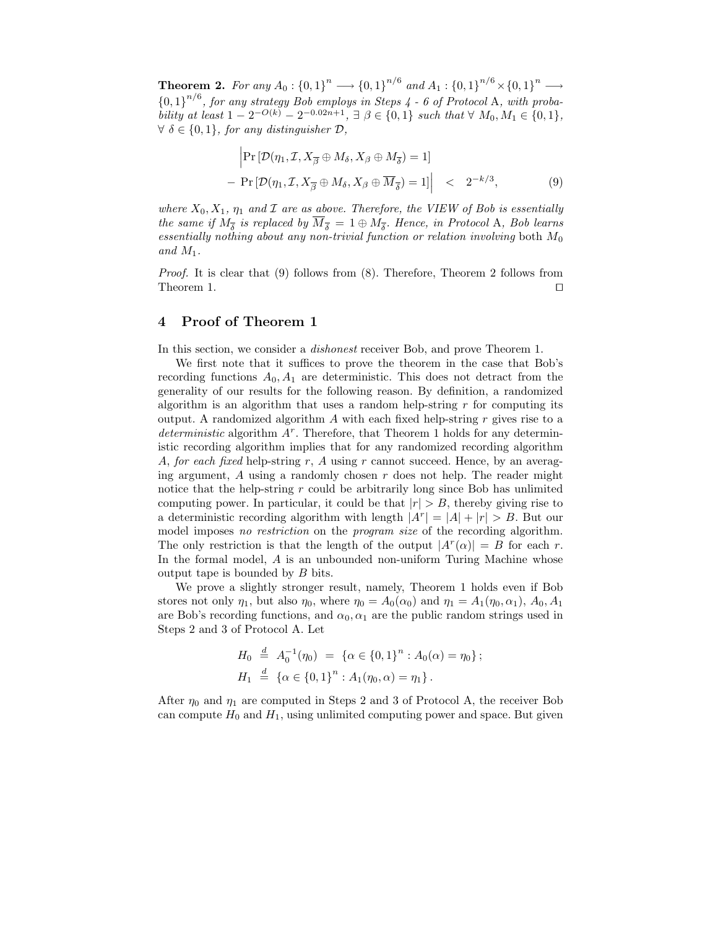**Theorem 2.** For any  $A_0: \{0,1\}^n \longrightarrow \{0,1\}^{n/6}$  and  $A_1: \{0,1\}^{n/6} \times \{0,1\}^n \longrightarrow$  ${0,1}^{n/6}$ , for any strategy Bob employs in Steps 4 - 6 of Protocol A, with probability at least  $1 - 2^{-O(k)} - 2^{-0.02n+1}$ ,  $\exists \beta \in \{0,1\}$  such that  $\forall M_0, M_1 \in \{0,1\}$ ,  $\forall \delta \in \{0,1\}$ , for any distinguisher  $\mathcal{D}$ ,

$$
\left| \Pr \left[ \mathcal{D}(\eta_1, \mathcal{I}, X_{\overline{\beta}} \oplus M_\delta, X_\beta \oplus M_{\overline{\delta}}) = 1 \right] \right|
$$
\n
$$
- \left| \Pr \left[ \mathcal{D}(\eta_1, \mathcal{I}, X_{\overline{\beta}} \oplus M_\delta, X_\beta \oplus \overline{M}_{\overline{\delta}}) = 1 \right] \right| < 2^{-k/3},
$$
\n(9)

where  $X_0, X_1, \eta_1$  and  $\mathcal I$  are as above. Therefore, the VIEW of Bob is essentially the same if  $M_{\overline{\delta}}$  is replaced by  $M_{\overline{\delta}} = 1 \oplus M_{\overline{\delta}}$ . Hence, in Protocol A, Bob learns essentially nothing about any non-trivial function or relation involving both  $M_0$ and  $M_1$ .

Proof. It is clear that (9) follows from (8). Therefore, Theorem 2 follows from Theorem 1.  $\Box$ 

## 4 Proof of Theorem 1

In this section, we consider a dishonest receiver Bob, and prove Theorem 1.

We first note that it suffices to prove the theorem in the case that Bob's recording functions  $A_0$ ,  $A_1$  are deterministic. This does not detract from the generality of our results for the following reason. By definition, a randomized algorithm is an algorithm that uses a random help-string  $r$  for computing its output. A randomized algorithm  $A$  with each fixed help-string  $r$  gives rise to a  $determine$  algorithm  $A<sup>r</sup>$ . Therefore, that Theorem 1 holds for any deterministic recording algorithm implies that for any randomized recording algorithm A, for each fixed help-string r, A using r cannot succeed. Hence, by an averaging argument,  $A$  using a randomly chosen  $r$  does not help. The reader might notice that the help-string  $r$  could be arbitrarily long since Bob has unlimited computing power. In particular, it could be that  $|r| > B$ , thereby giving rise to a deterministic recording algorithm with length  $|A^r| = |A| + |r| > B$ . But our model imposes no restriction on the program size of the recording algorithm. The only restriction is that the length of the output  $|A^r(\alpha)| = B$  for each r. In the formal model, A is an unbounded non-uniform Turing Machine whose output tape is bounded by B bits.

We prove a slightly stronger result, namely, Theorem 1 holds even if Bob stores not only  $\eta_1$ , but also  $\eta_0$ , where  $\eta_0 = A_0(\alpha_0)$  and  $\eta_1 = A_1(\eta_0, \alpha_1)$ ,  $A_0, A_1$ are Bob's recording functions, and  $\alpha_0, \alpha_1$  are the public random strings used in Steps 2 and 3 of Protocol A. Let

$$
H_0 \stackrel{d}{=} A_0^{-1}(\eta_0) = \{ \alpha \in \{0, 1\}^n : A_0(\alpha) = \eta_0 \};
$$
  

$$
H_1 \stackrel{d}{=} \{ \alpha \in \{0, 1\}^n : A_1(\eta_0, \alpha) = \eta_1 \}.
$$

After  $\eta_0$  and  $\eta_1$  are computed in Steps 2 and 3 of Protocol A, the receiver Bob can compute  $H_0$  and  $H_1$ , using unlimited computing power and space. But given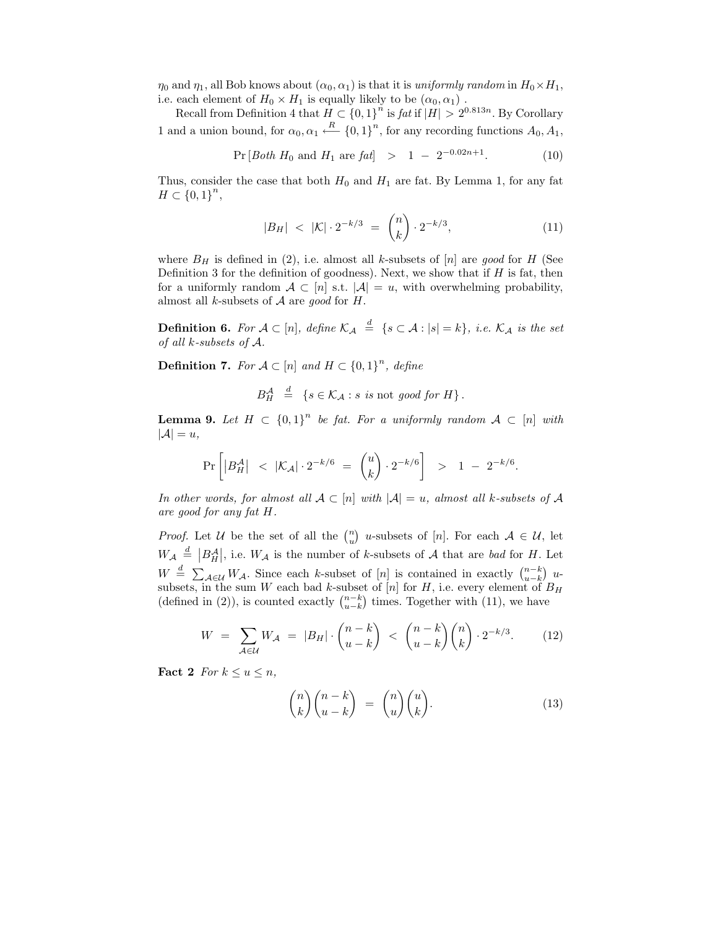$\eta_0$  and  $\eta_1$ , all Bob knows about  $(\alpha_0, \alpha_1)$  is that it is uniformly random in  $H_0 \times H_1$ , i.e. each element of  $H_0 \times H_1$  is equally likely to be  $(\alpha_0, \alpha_1)$ .

Recall from Definition 4 that  $H \subset \{0,1\}^n$  is fat if  $|H| > 2^{0.813n}$ . By Corollary 1 and a union bound, for  $\alpha_0, \alpha_1 \stackrel{R}{\longleftarrow} \{0, 1\}^n$ , for any recording functions  $A_0, A_1$ ,

$$
Pr[Both H_0 and H_1 are fat] > 1 - 2^{-0.02n+1}.
$$
 (10)

Thus, consider the case that both  $H_0$  and  $H_1$  are fat. By Lemma 1, for any fat  $H \subset \{0,1\}^n,$ 

$$
|B_H| < |\mathcal{K}| \cdot 2^{-k/3} = \binom{n}{k} \cdot 2^{-k/3},\tag{11}
$$

where  $B_H$  is defined in (2), i.e. almost all k-subsets of [n] are good for H (See Definition 3 for the definition of goodness). Next, we show that if  $H$  is fat, then for a uniformly random  $A \subset [n]$  s.t.  $|A| = u$ , with overwhelming probability, almost all k-subsets of  $A$  are good for  $H$ .

**Definition 6.** For  $A \subset [n]$ , define  $\mathcal{K}_A \stackrel{d}{=} \{s \subset A : |s| = k\}$ , i.e.  $\mathcal{K}_A$  is the set of all k-subsets of A.

**Definition 7.** For  $A \subset [n]$  and  $H \subset \{0,1\}^n$ , define

$$
B_H^{\mathcal{A}} \stackrel{d}{=} \{ s \in \mathcal{K}_{\mathcal{A}} : s \text{ is not good for } H \}.
$$

**Lemma 9.** Let  $H \subset \{0,1\}^n$  be fat. For a uniformly random  $A \subset [n]$  with  $|\mathcal{A}| = u,$ 

$$
\Pr\left[ \left| B_H^{\mathcal{A}} \right| \ \ < \ |\mathcal{K}_{\mathcal{A}}| \cdot 2^{-k/6} \ = \ \binom{u}{k} \cdot 2^{-k/6} \right] \ \ > \ \ 1 \ - \ 2^{-k/6}.
$$

In other words, for almost all  $A \subset [n]$  with  $|A| = u$ , almost all k-subsets of A are good for any fat H.

*Proof.* Let U be the set of all the  $\binom{n}{u}$  u-subsets of  $[n]$ . For each  $A \in U$ , let  $W_{\mathcal{A}} \stackrel{d}{=} |B_{H}^{\mathcal{A}}|$ , i.e.  $W_{\mathcal{A}}$  is the number of k-subsets of  $\mathcal{A}$  that are bad for H. Let  $W \stackrel{d}{=} \sum_{\mathcal{A} \in \mathcal{U}} W_{\mathcal{A}}$ . Since each k-subset of [n] is contained in exactly  $\binom{n-k}{u-k}$  usubsets, in the sum W each bad k-subset of  $[n]$  for H, i.e. every element of  $B_H$ (defined in (2)), is counted exactly  $\binom{n-k}{u-k}$  times. Together with (11), we have

$$
W = \sum_{\mathcal{A}\in\mathcal{U}} W_{\mathcal{A}} = |B_H| \cdot \binom{n-k}{u-k} < \binom{n-k}{u-k} \binom{n}{k} \cdot 2^{-k/3}.\tag{12}
$$

Fact 2 For  $k \le u \le n$ ,

$$
\binom{n}{k}\binom{n-k}{u-k} = \binom{n}{u}\binom{u}{k}.
$$
\n(13)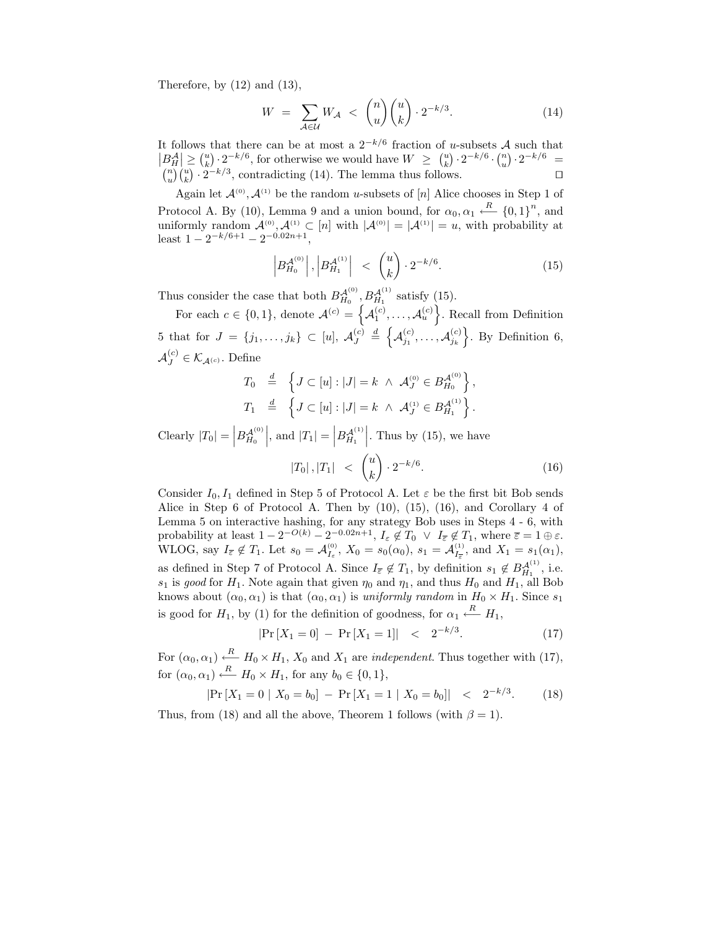Therefore, by  $(12)$  and  $(13)$ ,

$$
W = \sum_{\mathcal{A} \in \mathcal{U}} W_{\mathcal{A}} < \binom{n}{u} \binom{u}{k} \cdot 2^{-k/3}.\tag{14}
$$

It follows that there can be at most a  $2^{-k/6}$  fraction of u-subsets A such that  $|B_{H}^{A}| \geq {u \choose k} \cdot 2^{-k/6}$ , for otherwise we would have  $W \geq {u \choose k} \cdot 2^{-k/6} \cdot {n \choose u} \cdot 2^{-k/6} =$  $\binom{n}{u}\binom{u}{k} \cdot 2^{-k/3}$ , contradicting (14). The lemma thus follows.

Again let  $\mathcal{A}^{(0)}$ ,  $\mathcal{A}^{(1)}$  be the random u-subsets of [n] Alice chooses in Step 1 of Protocol A. By (10), Lemma 9 and a union bound, for  $\alpha_0, \alpha_1 \stackrel{R}{\leftarrow} \{0, 1\}^n$ , and uniformly random  $\mathcal{A}^{(0)}, \mathcal{A}^{(1)} \subset [n]$  with  $|\mathcal{A}^{(0)}| = |\mathcal{A}^{(1)}| = u$ , with probability at least  $1 - 2^{-k/6+1} - 2^{-0.02n+1}$ ,

$$
\left| B_{H_0}^{A^{(0)}} \right|, \left| B_{H_1}^{A^{(1)}} \right| \le \binom{u}{k} \cdot 2^{-k/6}.\tag{15}
$$

Thus consider the case that both  $B_{H_0}^{\mathcal{A}^{(0)}}, B_{H_1}^{\mathcal{A}^{(1)}}$  satisfy (15).

For each  $c \in \{0,1\}$ , denote  $\mathcal{A}^{(c)} = \{A_1^{(c)}, \ldots, A_u^{(c)}\}$ . Recall from Definition 5 that for  $J = \{j_1, ..., j_k\} \subset [u], \mathcal{A}_J^{(c)}$  $\mathcal{A}_J^{(c)} \triangleq \left\{ \mathcal{A}_{j_1}^{(c)}, \ldots, \mathcal{A}_{j_k}^{(c)} \right\}$ . By Definition 6,  $\mathcal{A}_{J}^{(c)} \in \mathcal{K}_{\mathcal{A}^{(c)}}$ . Define

$$
T_0 \stackrel{d}{=} \left\{ J \subset [u] : |J| = k \land \mathcal{A}_J^{(0)} \in B_{H_0}^{\mathcal{A}^{(0)}} \right\},
$$
  

$$
T_1 \stackrel{d}{=} \left\{ J \subset [u] : |J| = k \land \mathcal{A}_J^{(1)} \in B_{H_1}^{\mathcal{A}^{(1)}} \right\}.
$$

Clearly  $|T_0| = |B_{H_0}^{A^{(0)}}|$ , and  $|T_1| = |B_{H_1}^{A^{(1)}}|$ . Thus by (15), we have

$$
|T_0|, |T_1| < \binom{u}{k} \cdot 2^{-k/6}.\tag{16}
$$

Consider  $I_0, I_1$  defined in Step 5 of Protocol A. Let  $\varepsilon$  be the first bit Bob sends Alice in Step 6 of Protocol A. Then by (10), (15), (16), and Corollary 4 of Lemma 5 on interactive hashing, for any strategy Bob uses in Steps 4 - 6, with probability at least  $1 - 2^{-O(k)} - 2^{-0.02n+1}$ ,  $I_{\varepsilon} \notin T_0 \vee I_{\overline{\varepsilon}} \notin T_1$ , where  $\overline{\varepsilon} = 1 \oplus \varepsilon$ . WLOG, say  $I_{\overline{\varepsilon}} \notin T_1$ . Let  $s_0 = \mathcal{A}_{I_{\varepsilon}}^{(0)}$ ,  $X_0 = s_0(\alpha_0)$ ,  $s_1 = \mathcal{A}_{I_{\overline{\varepsilon}}}^{(1)}$ , and  $X_1 = s_1(\alpha_1)$ , as defined in Step 7 of Protocol A. Since  $I_{\overline{\varepsilon}} \notin T_1$ , by definition  $s_1 \notin B_{H_1}^{\mathcal{A}^{(1)}}$ , i.e.  $s_1$  is good for  $H_1$ . Note again that given  $\eta_0$  and  $\eta_1$ , and thus  $H_0$  and  $H_1$ , all Bob knows about  $(\alpha_0, \alpha_1)$  is that  $(\alpha_0, \alpha_1)$  is uniformly random in  $H_0 \times H_1$ . Since  $s_1$ is good for  $H_1$ , by (1) for the definition of goodness, for  $\alpha_1 \stackrel{R}{\leftarrow} H_1$ ,

$$
|\Pr[X_1 = 0] - \Pr[X_1 = 1]| < 2^{-k/3}.
$$
 (17)

For  $(\alpha_0, \alpha_1) \stackrel{R}{\leftarrow} H_0 \times H_1$ ,  $X_0$  and  $X_1$  are *independent*. Thus together with (17), for  $(\alpha_0, \alpha_1) \stackrel{R}{\longleftarrow} H_0 \times H_1$ , for any  $b_0 \in \{0, 1\}$ ,

$$
|\Pr\left[X_1 = 0 \mid X_0 = b_0\right] - \Pr\left[X_1 = 1 \mid X_0 = b_0\right]| < 2^{-k/3}.\tag{18}
$$

Thus, from (18) and all the above, Theorem 1 follows (with  $\beta = 1$ ).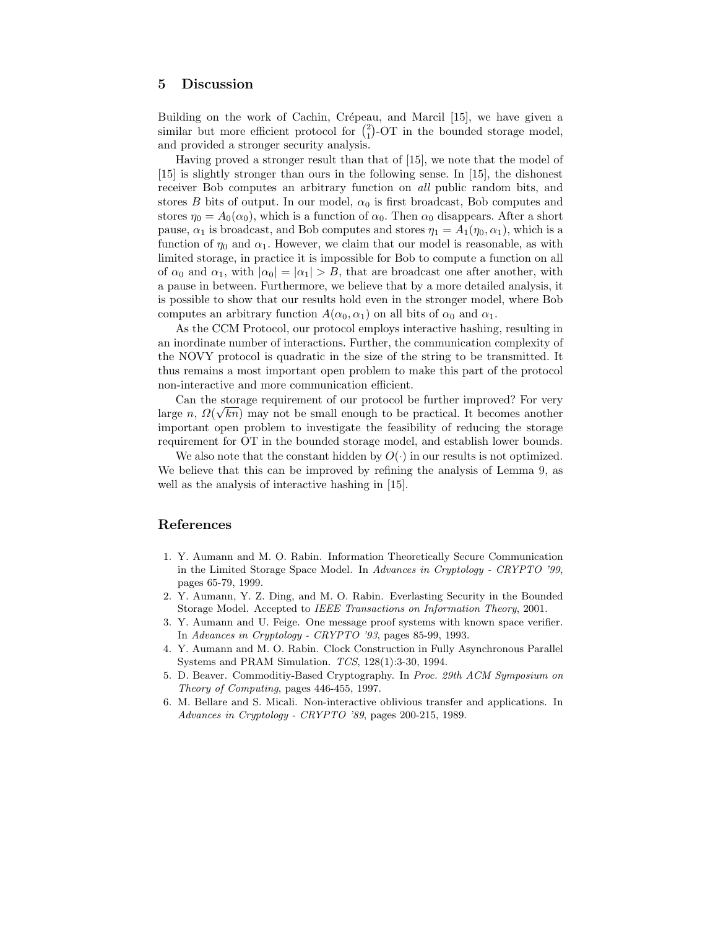## 5 Discussion

Building on the work of Cachin, Crépeau, and Marcil [15], we have given a similar but more efficient protocol for  $\binom{2}{1}$ -OT in the bounded storage model, and provided a stronger security analysis.

Having proved a stronger result than that of [15], we note that the model of [15] is slightly stronger than ours in the following sense. In [15], the dishonest receiver Bob computes an arbitrary function on all public random bits, and stores B bits of output. In our model,  $\alpha_0$  is first broadcast, Bob computes and stores  $\eta_0 = A_0(\alpha_0)$ , which is a function of  $\alpha_0$ . Then  $\alpha_0$  disappears. After a short pause,  $\alpha_1$  is broadcast, and Bob computes and stores  $\eta_1 = A_1(\eta_0, \alpha_1)$ , which is a function of  $\eta_0$  and  $\alpha_1$ . However, we claim that our model is reasonable, as with limited storage, in practice it is impossible for Bob to compute a function on all of  $\alpha_0$  and  $\alpha_1$ , with  $|\alpha_0| = |\alpha_1| > B$ , that are broadcast one after another, with a pause in between. Furthermore, we believe that by a more detailed analysis, it is possible to show that our results hold even in the stronger model, where Bob computes an arbitrary function  $A(\alpha_0, \alpha_1)$  on all bits of  $\alpha_0$  and  $\alpha_1$ .

As the CCM Protocol, our protocol employs interactive hashing, resulting in an inordinate number of interactions. Further, the communication complexity of the NOVY protocol is quadratic in the size of the string to be transmitted. It thus remains a most important open problem to make this part of the protocol non-interactive and more communication efficient.

Can the storage requirement of our protocol be further improved? For very large  $n$ ,  $\Omega(\sqrt{kn})$  may not be small enough to be practical. It becomes another important open problem to investigate the feasibility of reducing the storage requirement for OT in the bounded storage model, and establish lower bounds.

We also note that the constant hidden by  $O(\cdot)$  in our results is not optimized. We believe that this can be improved by refining the analysis of Lemma 9, as well as the analysis of interactive hashing in [15].

## References

- 1. Y. Aumann and M. O. Rabin. Information Theoretically Secure Communication in the Limited Storage Space Model. In Advances in Cryptology - CRYPTO '99, pages 65-79, 1999.
- 2. Y. Aumann, Y. Z. Ding, and M. O. Rabin. Everlasting Security in the Bounded Storage Model. Accepted to IEEE Transactions on Information Theory, 2001.
- 3. Y. Aumann and U. Feige. One message proof systems with known space verifier. In Advances in Cryptology - CRYPTO '93, pages 85-99, 1993.
- 4. Y. Aumann and M. O. Rabin. Clock Construction in Fully Asynchronous Parallel Systems and PRAM Simulation. TCS, 128(1):3-30, 1994.
- 5. D. Beaver. Commoditiy-Based Cryptography. In Proc. 29th ACM Symposium on Theory of Computing, pages 446-455, 1997.
- 6. M. Bellare and S. Micali. Non-interactive oblivious transfer and applications. In Advances in Cryptology - CRYPTO '89, pages 200-215, 1989.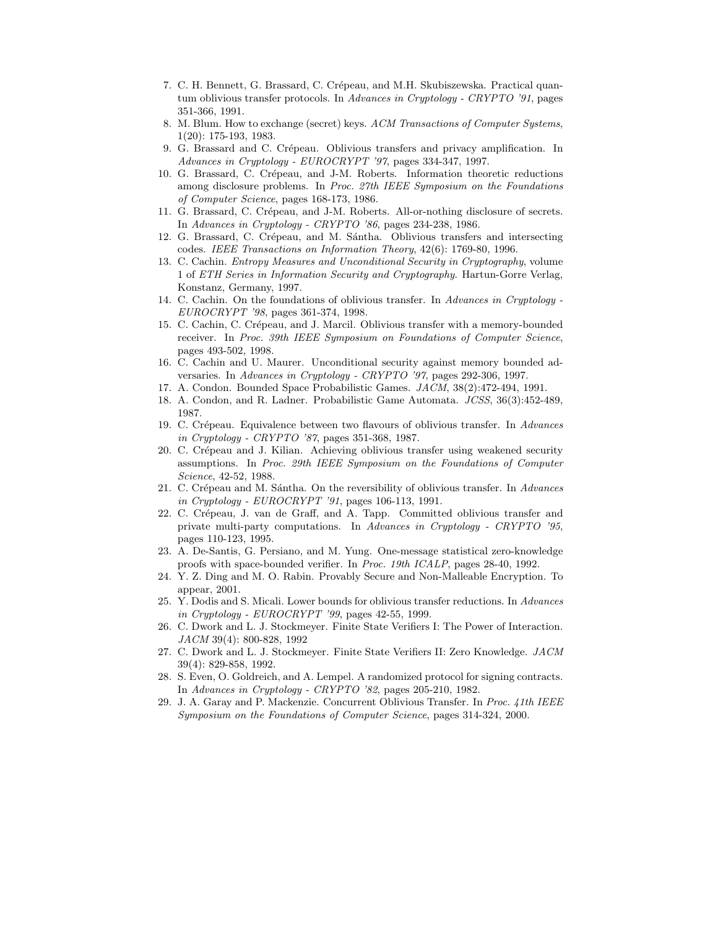- 7. C. H. Bennett, G. Brassard, C. Crépeau, and M.H. Skubiszewska. Practical quantum oblivious transfer protocols. In Advances in Cryptology - CRYPTO '91, pages 351-366, 1991.
- 8. M. Blum. How to exchange (secret) keys. ACM Transactions of Computer Systems, 1(20): 175-193, 1983.
- 9. G. Brassard and C. Crépeau. Oblivious transfers and privacy amplification. In Advances in Cryptology - EUROCRYPT '97, pages 334-347, 1997.
- 10. G. Brassard, C. Crépeau, and J-M. Roberts. Information theoretic reductions among disclosure problems. In Proc. 27th IEEE Symposium on the Foundations of Computer Science, pages 168-173, 1986.
- 11. G. Brassard, C. Crépeau, and J-M. Roberts. All-or-nothing disclosure of secrets. In Advances in Cryptology - CRYPTO '86, pages 234-238, 1986.
- 12. G. Brassard, C. Crépeau, and M. Sántha. Oblivious transfers and intersecting codes. IEEE Transactions on Information Theory, 42(6): 1769-80, 1996.
- 13. C. Cachin. Entropy Measures and Unconditional Security in Cryptography, volume 1 of ETH Series in Information Security and Cryptography. Hartun-Gorre Verlag, Konstanz, Germany, 1997.
- 14. C. Cachin. On the foundations of oblivious transfer. In Advances in Cryptology EUROCRYPT '98, pages 361-374, 1998.
- 15. C. Cachin, C. Cr´epeau, and J. Marcil. Oblivious transfer with a memory-bounded receiver. In Proc. 39th IEEE Symposium on Foundations of Computer Science, pages 493-502, 1998.
- 16. C. Cachin and U. Maurer. Unconditional security against memory bounded adversaries. In Advances in Cryptology - CRYPTO '97, pages 292-306, 1997.
- 17. A. Condon. Bounded Space Probabilistic Games. JACM, 38(2):472-494, 1991.
- 18. A. Condon, and R. Ladner. Probabilistic Game Automata. JCSS, 36(3):452-489, 1987.
- 19. C. Crépeau. Equivalence between two flavours of oblivious transfer. In Advances in Cryptology - CRYPTO '87, pages 351-368, 1987.
- 20. C. Crépeau and J. Kilian. Achieving oblivious transfer using weakened security assumptions. In Proc. 29th IEEE Symposium on the Foundations of Computer Science, 42-52, 1988.
- 21. C. Crépeau and M. Sántha. On the reversibility of oblivious transfer. In Advances in Cryptology - EUROCRYPT '91, pages 106-113, 1991.
- 22. C. Crépeau, J. van de Graff, and A. Tapp. Committed oblivious transfer and private multi-party computations. In Advances in Cryptology - CRYPTO '95, pages 110-123, 1995.
- 23. A. De-Santis, G. Persiano, and M. Yung. One-message statistical zero-knowledge proofs with space-bounded verifier. In Proc. 19th ICALP, pages 28-40, 1992.
- 24. Y. Z. Ding and M. O. Rabin. Provably Secure and Non-Malleable Encryption. To appear, 2001.
- 25. Y. Dodis and S. Micali. Lower bounds for oblivious transfer reductions. In Advances in Cryptology - EUROCRYPT '99, pages 42-55, 1999.
- 26. C. Dwork and L. J. Stockmeyer. Finite State Verifiers I: The Power of Interaction. JACM 39(4): 800-828, 1992
- 27. C. Dwork and L. J. Stockmeyer. Finite State Verifiers II: Zero Knowledge. JACM 39(4): 829-858, 1992.
- 28. S. Even, O. Goldreich, and A. Lempel. A randomized protocol for signing contracts. In Advances in Cryptology - CRYPTO '82, pages 205-210, 1982.
- 29. J. A. Garay and P. Mackenzie. Concurrent Oblivious Transfer. In Proc. 41th IEEE Symposium on the Foundations of Computer Science, pages 314-324, 2000.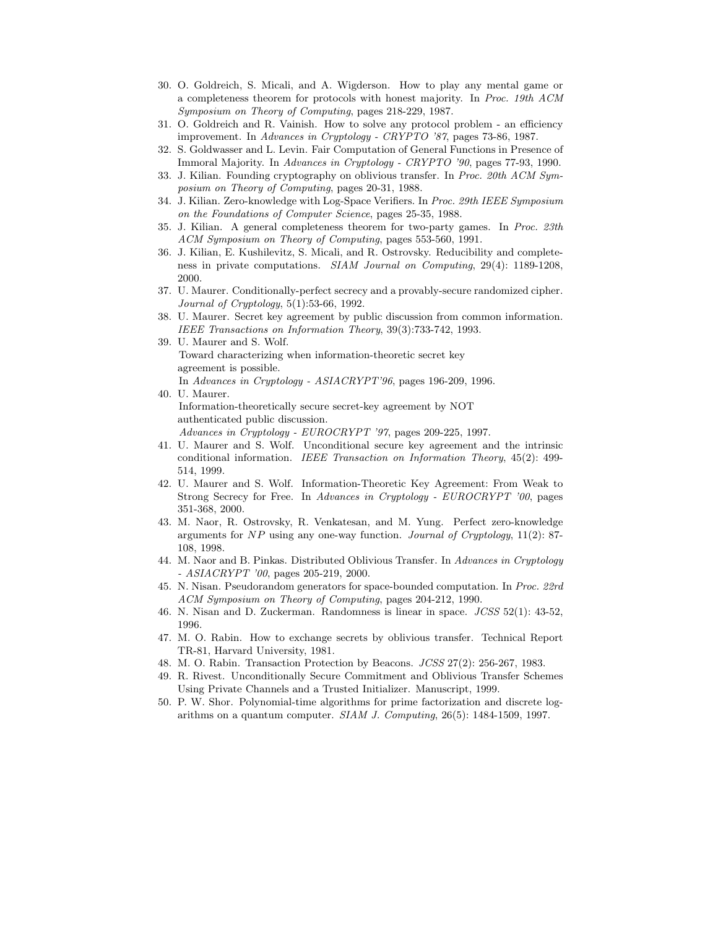- 30. O. Goldreich, S. Micali, and A. Wigderson. How to play any mental game or a completeness theorem for protocols with honest majority. In Proc. 19th ACM Symposium on Theory of Computing, pages 218-229, 1987.
- 31. O. Goldreich and R. Vainish. How to solve any protocol problem an efficiency improvement. In Advances in Cryptology - CRYPTO '87, pages 73-86, 1987.
- 32. S. Goldwasser and L. Levin. Fair Computation of General Functions in Presence of Immoral Majority. In Advances in Cryptology - CRYPTO '90, pages 77-93, 1990.
- 33. J. Kilian. Founding cryptography on oblivious transfer. In Proc. 20th ACM Symposium on Theory of Computing, pages 20-31, 1988.
- 34. J. Kilian. Zero-knowledge with Log-Space Verifiers. In Proc. 29th IEEE Symposium on the Foundations of Computer Science, pages 25-35, 1988.
- 35. J. Kilian. A general completeness theorem for two-party games. In Proc. 23th ACM Symposium on Theory of Computing, pages 553-560, 1991.
- 36. J. Kilian, E. Kushilevitz, S. Micali, and R. Ostrovsky. Reducibility and completeness in private computations. SIAM Journal on Computing, 29(4): 1189-1208, 2000.
- 37. U. Maurer. Conditionally-perfect secrecy and a provably-secure randomized cipher. Journal of Cryptology, 5(1):53-66, 1992.
- 38. U. Maurer. Secret key agreement by public discussion from common information. IEEE Transactions on Information Theory, 39(3):733-742, 1993.
- 39. U. Maurer and S. Wolf. Toward characterizing when information-theoretic secret key agreement is possible. In Advances in Cryptology - ASIACRYPT'96, pages 196-209, 1996.
- 40. U. Maurer. Information-theoretically secure secret-key agreement by NOT authenticated public discussion.
	- Advances in Cryptology EUROCRYPT '97, pages 209-225, 1997.
- 41. U. Maurer and S. Wolf. Unconditional secure key agreement and the intrinsic conditional information. IEEE Transaction on Information Theory, 45(2): 499- 514, 1999.
- 42. U. Maurer and S. Wolf. Information-Theoretic Key Agreement: From Weak to Strong Secrecy for Free. In Advances in Cryptology - EUROCRYPT '00, pages 351-368, 2000.
- 43. M. Naor, R. Ostrovsky, R. Venkatesan, and M. Yung. Perfect zero-knowledge arguments for  $NP$  using any one-way function. *Journal of Cryptology*,  $11(2)$ : 87-108, 1998.
- 44. M. Naor and B. Pinkas. Distributed Oblivious Transfer. In Advances in Cryptology - ASIACRYPT '00, pages 205-219, 2000.
- 45. N. Nisan. Pseudorandom generators for space-bounded computation. In Proc. 22rd ACM Symposium on Theory of Computing, pages 204-212, 1990.
- 46. N. Nisan and D. Zuckerman. Randomness is linear in space. JCSS 52(1): 43-52, 1996.
- 47. M. O. Rabin. How to exchange secrets by oblivious transfer. Technical Report TR-81, Harvard University, 1981.
- 48. M. O. Rabin. Transaction Protection by Beacons. JCSS 27(2): 256-267, 1983.
- 49. R. Rivest. Unconditionally Secure Commitment and Oblivious Transfer Schemes Using Private Channels and a Trusted Initializer. Manuscript, 1999.
- 50. P. W. Shor. Polynomial-time algorithms for prime factorization and discrete logarithms on a quantum computer. SIAM J. Computing, 26(5): 1484-1509, 1997.